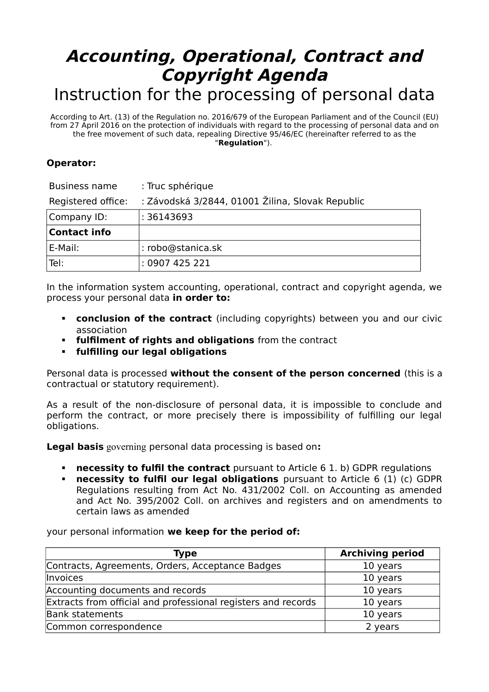## **Accounting, Operational, Contract and Copyright Agenda** Instruction for the processing of personal data

According to Art. (13) of the Regulation no. 2016/679 of the European Parliament and of the Council (EU) from 27 April 2016 on the protection of individuals with regard to the processing of personal data and on the free movement of such data, repealing Directive 95/46/EC (hereinafter referred to as the "**Regulation**").

## **Operator:**

| <b>Business name</b> | : Truc sphérique                                 |
|----------------------|--------------------------------------------------|
| Registered office:   | : Závodská 3/2844, 01001 Žilina, Slovak Republic |
| Company ID:          | : 36143693                                       |
| <b>Contact info</b>  |                                                  |
| E-Mail:              | : robo@stanica.sk                                |
| Tel:                 | : 0907425221                                     |

In the information system accounting, operational, contract and copyright agenda, we process your personal data **in order to:**

- **conclusion of the contract** (including copyrights) between you and our civic association
- **fulfilment of rights and obligations** from the contract
- **fulfilling our legal obligations**

Personal data is processed **without the consent of the person concerned** (this is a contractual or statutory requirement).

As a result of the non-disclosure of personal data, it is impossible to conclude and perform the contract, or more precisely there is impossibility of fulfilling our legal obligations.

**Legal basis** governing personal data processing is based on**:**

- **necessity to fulfil the contract** pursuant to Article 6 1. b) GDPR regulations
- **necessity to fulfil our legal obligations** pursuant to Article 6 (1) (c) GDPR Regulations resulting from Act No. 431/2002 Coll. on Accounting as amended and Act No. 395/2002 Coll. on archives and registers and on amendments to certain laws as amended

your personal information **we keep for the period of:**

| <b>Type</b>                                                   | <b>Archiving period</b> |
|---------------------------------------------------------------|-------------------------|
| Contracts, Agreements, Orders, Acceptance Badges              | 10 years                |
| Invoices                                                      | 10 years                |
| Accounting documents and records                              | 10 years                |
| Extracts from official and professional registers and records | 10 years                |
| <b>Bank statements</b>                                        | 10 years                |
| Common correspondence                                         | 2 years                 |